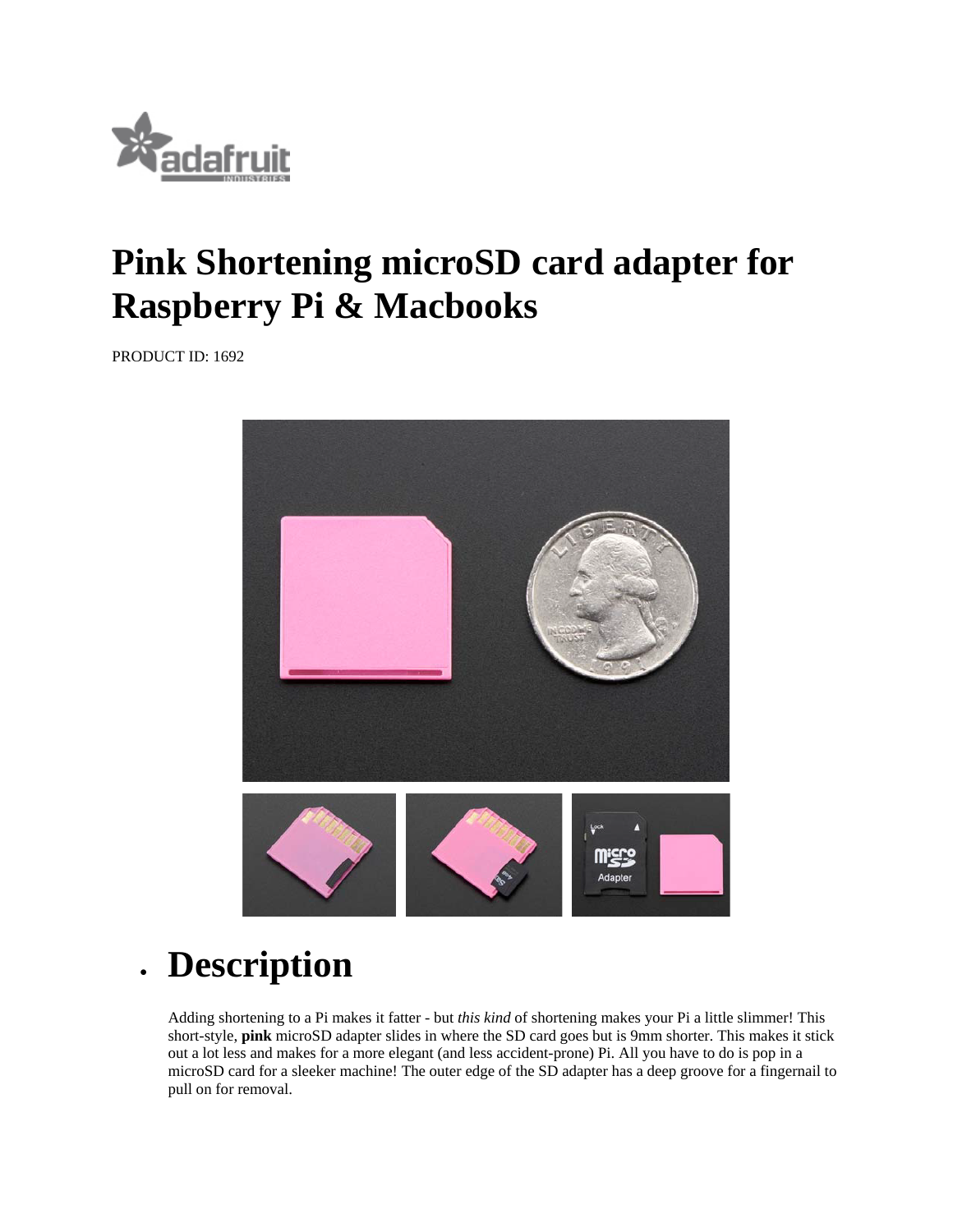

## **Pink Shortening microSD card adapter for Raspberry Pi & Macbooks**

PRODUCT ID: 1692



**Description** 

Adding shortening to a Pi makes it fatter - but *this kind* of shortening makes your Pi a little slimmer! This short-style, **pink** microSD adapter slides in where the SD card goes but is 9mm shorter. This makes it stick out a lot less and makes for a more elegant (and less accident-prone) Pi. All you have to do is pop in a microSD card for a sleeker machine! The outer edge of the SD adapter has a deep groove for a fingernail to pull on for removal.